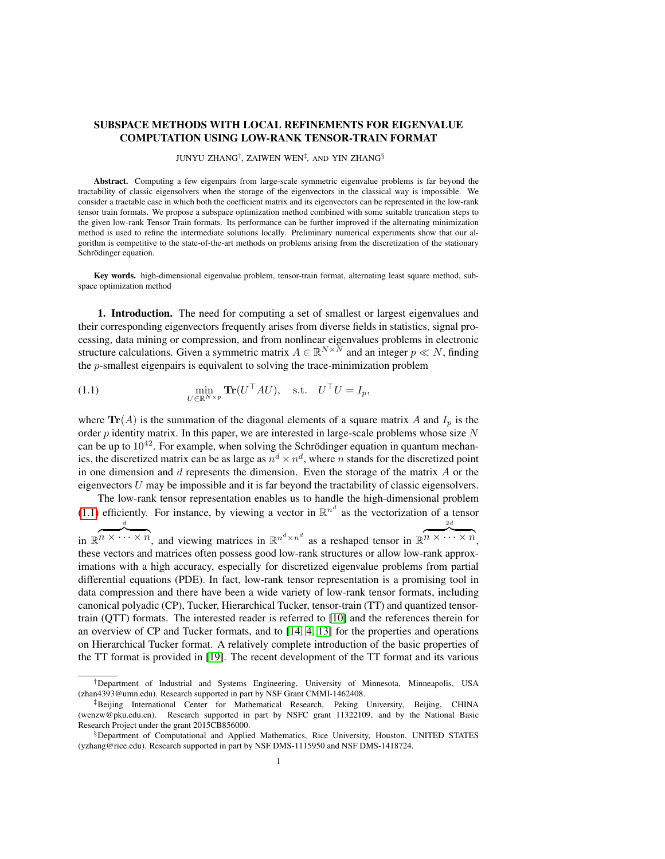# SUBSPACE METHODS WITH LOCAL REFINEMENTS FOR EIGENVALUE COMPUTATION USING LOW-RANK TENSOR-TRAIN FORMAT

#### <span id="page-0-0"></span>JUNYU ZHANG<sup>†</sup>, ZAIWEN WEN<sup>‡</sup>, AND YIN ZHANG<sup>§</sup>

Abstract. Computing a few eigenpairs from large-scale symmetric eigenvalue problems is far beyond the tractability of classic eigensolvers when the storage of the eigenvectors in the classical way is impossible. We consider a tractable case in which both the coefficient matrix and its eigenvectors can be represented in the low-rank tensor train formats. We propose a subspace optimization method combined with some suitable truncation steps to the given low-rank Tensor Train formats. Its performance can be further improved if the alternating minimization method is used to refine the intermediate solutions locally. Preliminary numerical experiments show that our algorithm is competitive to the state-of-the-art methods on problems arising from the discretization of the stationary Schrödinger equation.

Key words. high-dimensional eigenvalue problem, tensor-train format, alternating least square method, subspace optimization method

1. Introduction. The need for computing a set of smallest or largest eigenvalues and their corresponding eigenvectors frequently arises from diverse fields in statistics, signal processing, data mining or compression, and from nonlinear eigenvalues problems in electronic structure calculations. Given a symmetric matrix  $A \in \mathbb{R}^{N \times N}$  and an integer  $p \ll N$ , finding the p-smallest eigenpairs is equivalent to solving the trace-minimization problem

(1.1) 
$$
\min_{U \in \mathbb{R}^{N \times p}} \mathbf{Tr}(U^{\top}AU), \quad \text{s.t.} \quad U^{\top}U = I_p,
$$

where  $\text{Tr}(A)$  is the summation of the diagonal elements of a square matrix A and  $I_p$  is the order  $p$  identity matrix. In this paper, we are interested in large-scale problems whose size  $N$ can be up to  $10^{42}$ . For example, when solving the Schrödinger equation in quantum mechanics, the discretized matrix can be as large as  $n^d \times n^d$ , where n stands for the discretized point in one dimension and  $d$  represents the dimension. Even the storage of the matrix  $A$  or the eigenvectors  $U$  may be impossible and it is far beyond the tractability of classic eigensolvers.

The low-rank tensor representation enables us to handle the high-dimensional problem [\(1.1\)](#page-0-0) efficiently. For instance, by viewing a vector in  $\mathbb{R}^{n^d}$  as the vectorization of a tensor in  $\mathbb{R}^n \times \cdots \times n$ , and viewing matrices in  $\mathbb{R}^{n^d \times n^d}$  as a reshaped tensor in  $\mathbb{R}^n \times \cdots \times n$ , d 2d these vectors and matrices often possess good low-rank structures or allow low-rank approximations with a high accuracy, especially for discretized eigenvalue problems from partial differential equations (PDE). In fact, low-rank tensor representation is a promising tool in data compression and there have been a wide variety of low-rank tensor formats, including canonical polyadic (CP), Tucker, Hierarchical Tucker, tensor-train (TT) and quantized tensortrain (QTT) formats. The interested reader is referred to [\[10\]](#page-18-0) and the references therein for an overview of CP and Tucker formats, and to [\[14,](#page-18-1) [4,](#page-17-0) [13\]](#page-18-2) for the properties and operations on Hierarchical Tucker format. A relatively complete introduction of the basic properties of the TT format is provided in [\[19\]](#page-18-3). The recent development of the TT format and its various

<sup>†</sup>Department of Industrial and Systems Engineering, University of Minnesota, Minneapolis, USA (zhan4393@umn.edu). Research supported in part by NSF Grant CMMI-1462408.

<sup>‡</sup>Beijing International Center for Mathematical Research, Peking University, Beijing, CHINA (wenzw@pku.edu.cn). Research supported in part by NSFC grant 11322109, and by the National Basic Research Project under the grant 2015CB856000.

<sup>§</sup>Department of Computational and Applied Mathematics, Rice University, Houston, UNITED STATES (yzhang@rice.edu). Research supported in part by NSF DMS-1115950 and NSF DMS-1418724.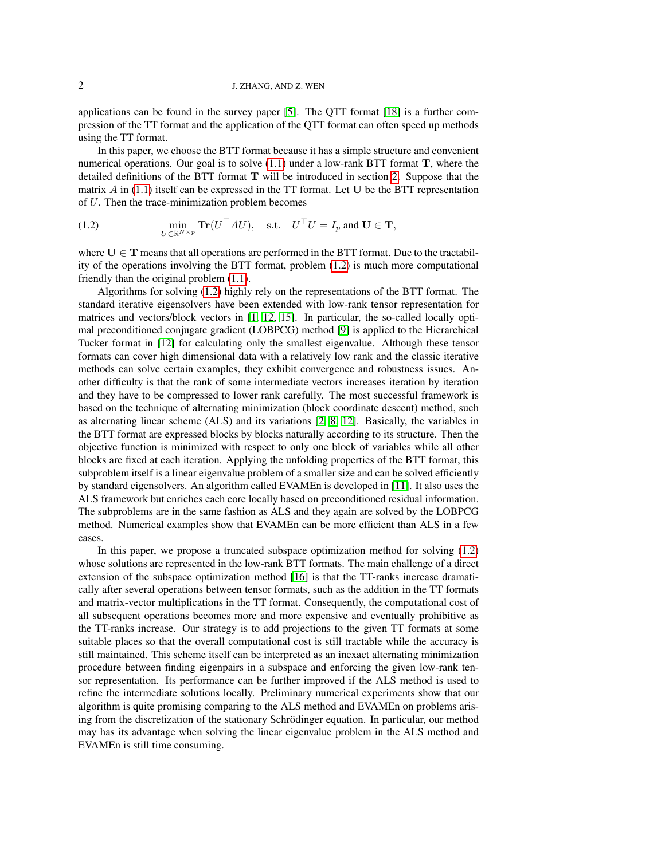applications can be found in the survey paper [\[5\]](#page-17-1). The QTT format [\[18\]](#page-18-4) is a further compression of the TT format and the application of the QTT format can often speed up methods using the TT format.

In this paper, we choose the BTT format because it has a simple structure and convenient numerical operations. Our goal is to solve  $(1.1)$  under a low-rank BTT format T, where the detailed definitions of the BTT format T will be introduced in section [2.](#page-2-0) Suppose that the matrix  $A$  in [\(1.1\)](#page-0-0) itself can be expressed in the TT format. Let U be the BTT representation of U. Then the trace-minimization problem becomes

<span id="page-1-0"></span>(1.2) 
$$
\min_{U \in \mathbb{R}^{N \times p}} \mathbf{Tr}(U^{\top}AU), \text{ s.t. } U^{\top}U = I_p \text{ and } U \in \mathbf{T},
$$

where  $U \in T$  means that all operations are performed in the BTT format. Due to the tractability of the operations involving the BTT format, problem [\(1.2\)](#page-1-0) is much more computational friendly than the original problem [\(1.1\)](#page-0-0).

Algorithms for solving [\(1.2\)](#page-1-0) highly rely on the representations of the BTT format. The standard iterative eigensolvers have been extended with low-rank tensor representation for matrices and vectors/block vectors in [\[1,](#page-16-0) [12,](#page-18-5) [15\]](#page-18-6). In particular, the so-called locally optimal preconditioned conjugate gradient (LOBPCG) method [\[9\]](#page-18-7) is applied to the Hierarchical Tucker format in [\[12\]](#page-18-5) for calculating only the smallest eigenvalue. Although these tensor formats can cover high dimensional data with a relatively low rank and the classic iterative methods can solve certain examples, they exhibit convergence and robustness issues. Another difficulty is that the rank of some intermediate vectors increases iteration by iteration and they have to be compressed to lower rank carefully. The most successful framework is based on the technique of alternating minimization (block coordinate descent) method, such as alternating linear scheme (ALS) and its variations [\[2,](#page-16-1) [8,](#page-18-8) [12\]](#page-18-5). Basically, the variables in the BTT format are expressed blocks by blocks naturally according to its structure. Then the objective function is minimized with respect to only one block of variables while all other blocks are fixed at each iteration. Applying the unfolding properties of the BTT format, this subproblem itself is a linear eigenvalue problem of a smaller size and can be solved efficiently by standard eigensolvers. An algorithm called EVAMEn is developed in [\[11\]](#page-18-9). It also uses the ALS framework but enriches each core locally based on preconditioned residual information. The subproblems are in the same fashion as ALS and they again are solved by the LOBPCG method. Numerical examples show that EVAMEn can be more efficient than ALS in a few cases.

In this paper, we propose a truncated subspace optimization method for solving [\(1.2\)](#page-1-0) whose solutions are represented in the low-rank BTT formats. The main challenge of a direct extension of the subspace optimization method [\[16\]](#page-18-10) is that the TT-ranks increase dramatically after several operations between tensor formats, such as the addition in the TT formats and matrix-vector multiplications in the TT format. Consequently, the computational cost of all subsequent operations becomes more and more expensive and eventually prohibitive as the TT-ranks increase. Our strategy is to add projections to the given TT formats at some suitable places so that the overall computational cost is still tractable while the accuracy is still maintained. This scheme itself can be interpreted as an inexact alternating minimization procedure between finding eigenpairs in a subspace and enforcing the given low-rank tensor representation. Its performance can be further improved if the ALS method is used to refine the intermediate solutions locally. Preliminary numerical experiments show that our algorithm is quite promising comparing to the ALS method and EVAMEn on problems arising from the discretization of the stationary Schrödinger equation. In particular, our method may has its advantage when solving the linear eigenvalue problem in the ALS method and EVAMEn is still time consuming.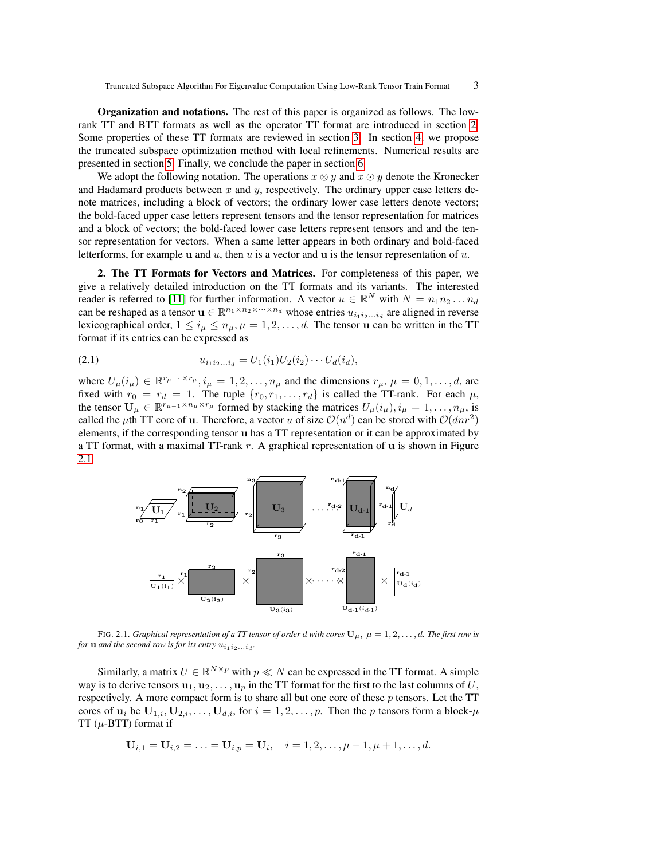Organization and notations. The rest of this paper is organized as follows. The lowrank TT and BTT formats as well as the operator TT format are introduced in section [2.](#page-2-0) Some properties of these TT formats are reviewed in section [3.](#page-3-0) In section [4,](#page-7-0) we propose the truncated subspace optimization method with local refinements. Numerical results are presented in section [5.](#page-13-0) Finally, we conclude the paper in section [6.](#page-16-2)

We adopt the following notation. The operations  $x \otimes y$  and  $x \odot y$  denote the Kronecker and Hadamard products between  $x$  and  $y$ , respectively. The ordinary upper case letters denote matrices, including a block of vectors; the ordinary lower case letters denote vectors; the bold-faced upper case letters represent tensors and the tensor representation for matrices and a block of vectors; the bold-faced lower case letters represent tensors and and the tensor representation for vectors. When a same letter appears in both ordinary and bold-faced letterforms, for example u and u, then u is a vector and u is the tensor representation of u.

<span id="page-2-0"></span>2. The TT Formats for Vectors and Matrices. For completeness of this paper, we give a relatively detailed introduction on the TT formats and its variants. The interested reader is referred to [\[11\]](#page-18-9) for further information. A vector  $u \in \mathbb{R}^N$  with  $N = n_1 n_2 ... n_d$ can be reshaped as a tensor  $\mathbf{u} \in \mathbb{R}^{n_1 \times n_2 \times \cdots \times n_d}$  whose entries  $u_{i_1 i_2 \ldots i_d}$  are aligned in reverse lexicographical order,  $1 \le i_\mu \le n_\mu, \mu = 1, 2, \dots, d$ . The tensor u can be written in the TT format if its entries can be expressed as

<span id="page-2-2"></span>
$$
(2.1) \t\t u_{i_1 i_2 \dots i_d} = U_1(i_1) U_2(i_2) \dots U_d(i_d),
$$

where  $U_{\mu}(i_{\mu}) \in \mathbb{R}^{r_{\mu-1} \times r_{\mu}}, i_{\mu} = 1, 2, \ldots, n_{\mu}$  and the dimensions  $r_{\mu}, \mu = 0, 1, \ldots, d$ , are fixed with  $r_0 = r_d = 1$ . The tuple  $\{r_0, r_1, \ldots, r_d\}$  is called the TT-rank. For each  $\mu$ , the tensor  $\mathbf{U}_{\mu} \in \mathbb{R}^{r_{\mu-1} \times n_{\mu} \times r_{\mu}}$  formed by stacking the matrices  $U_{\mu}(i_{\mu}), i_{\mu} = 1, \dots, n_{\mu}$ , is called the  $\mu$ th TT core of **u**. Therefore, a vector u of size  $\mathcal{O}(n^d)$  can be stored with  $\mathcal{O}(dnr^2)$ elements, if the corresponding tensor u has a TT representation or it can be approximated by a TT format, with a maximal TT-rank  $r$ . A graphical representation of  $\bf{u}$  is shown in Figure [2.1.](#page-2-1)



<span id="page-2-1"></span>FIG. 2.1. *Graphical representation of a TT tensor of order d with cores*  $\mathbf{U}_{\mu}$ ,  $\mu = 1, 2, \dots, d$ . *The first row is for* **u** *and the second row is for its entry*  $u_{i_1 i_2...i_d}$ *.* 

Similarly, a matrix  $U \in \mathbb{R}^{N \times p}$  with  $p \ll N$  can be expressed in the TT format. A simple way is to derive tensors  $\mathbf{u}_1, \mathbf{u}_2, \dots, \mathbf{u}_p$  in the TT format for the first to the last columns of U, respectively. A more compact form is to share all but one core of these p tensors. Let the TT cores of  $\mathbf{u}_i$  be  $\mathbf{U}_{1,i}, \mathbf{U}_{2,i}, \ldots, \mathbf{U}_{d,i}$ , for  $i = 1, 2, \ldots, p$ . Then the p tensors form a block- $\mu$ TT  $(\mu$ -BTT) format if

$$
U_{i,1} = U_{i,2} = \ldots = U_{i,p} = U_i, \quad i = 1,2,\ldots,\mu-1,\mu+1,\ldots,d.
$$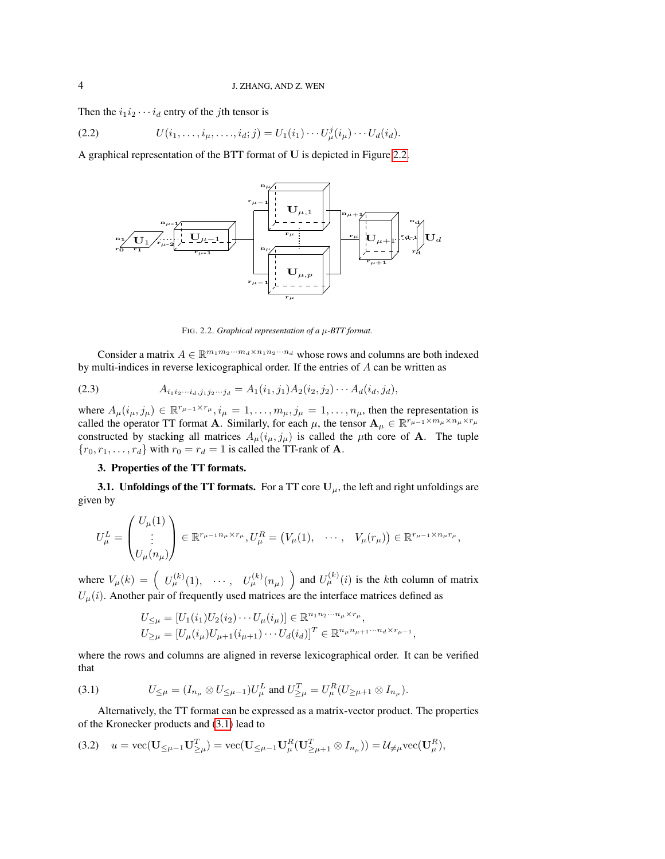Then the  $i_1i_2\cdots i_d$  entry of the *j*th tensor is

(2.2) 
$$
U(i_1, ..., i_\mu, ..., i_d; j) = U_1(i_1) \cdots U_\mu^j(i_\mu) \cdots U_d(i_d).
$$

A graphical representation of the BTT format of U is depicted in Figure [2.2.](#page-3-1)

<span id="page-3-5"></span>

<span id="page-3-4"></span><span id="page-3-1"></span>FIG. 2.2. *Graphical representation of a* µ*-BTT format.*

Consider a matrix  $A \in \mathbb{R}^{m_1 m_2 \cdots m_d \times n_1 n_2 \cdots n_d}$  whose rows and columns are both indexed by multi-indices in reverse lexicographical order. If the entries of A can be written as

(2.3) 
$$
A_{i_1 i_2 \cdots i_d, j_1 j_2 \cdots j_d} = A_1(i_1, j_1) A_2(i_2, j_2) \cdots A_d(i_d, j_d),
$$

where  $A_\mu(i_\mu, j_\mu) \in \mathbb{R}^{r_{\mu-1} \times r_{\mu}}, i_\mu = 1, \ldots, m_\mu, j_\mu = 1, \ldots, n_\mu$ , then the representation is called the operator TT format **A**. Similarly, for each  $\mu$ , the tensor  $\mathbf{A}_{\mu} \in \mathbb{R}^{r_{\mu-1} \times m_{\mu} \times n_{\mu} \times r_{\mu}}$ constructed by stacking all matrices  $A_\mu(i_\mu, j_\mu)$  is called the  $\mu$ th core of A. The tuple  ${r_0, r_1, \ldots, r_d}$  with  $r_0 = r_d = 1$  is called the TT-rank of A.

## <span id="page-3-0"></span>3. Properties of the TT formats.

**3.1. Unfoldings of the TT formats.** For a TT core  $U_{\mu}$ , the left and right unfoldings are given by

$$
U^L_\mu = \begin{pmatrix} U_\mu(1) \\ \vdots \\ U_\mu(n_\mu) \end{pmatrix} \in \mathbb{R}^{r_{\mu-1}n_{\mu} \times r_{\mu}}, U^R_\mu = \left( V_\mu(1), \cdots, V_\mu(r_\mu) \right) \in \mathbb{R}^{r_{\mu-1} \times n_{\mu}r_{\mu}},
$$

where  $V_\mu(k) = \begin{pmatrix} U_\mu^{(k)}(1), & \cdots, & U_\mu^{(k)}(n_\mu) \end{pmatrix}$  and  $U_\mu^{(k)}(i)$  is the kth column of matrix  $U_{\mu}(i)$ . Another pair of frequently used matrices are the interface matrices defined as

<span id="page-3-2"></span>
$$
U_{\leq \mu} = [U_1(i_1)U_2(i_2)\cdots U_{\mu}(i_{\mu})] \in \mathbb{R}^{n_1 n_2 \cdots n_{\mu} \times r_{\mu}},
$$
  

$$
U_{\geq \mu} = [U_{\mu}(i_{\mu})U_{\mu+1}(i_{\mu+1})\cdots U_{d}(i_{d})]^T \in \mathbb{R}^{n_{\mu} n_{\mu+1} \cdots n_{d} \times r_{\mu-1}}
$$

,

where the rows and columns are aligned in reverse lexicographical order. It can be verified that

(3.1) 
$$
U_{\leq \mu} = (I_{n_{\mu}} \otimes U_{\leq \mu-1}) U_{\mu}^{L} \text{ and } U_{\geq \mu}^{T} = U_{\mu}^{R} (U_{\geq \mu+1} \otimes I_{n_{\mu}}).
$$

Alternatively, the TT format can be expressed as a matrix-vector product. The properties of the Kronecker products and [\(3.1\)](#page-3-2) lead to

<span id="page-3-3"></span>
$$
(3.2) \quad u = \text{vec}(\mathbf{U}_{\leq \mu-1}\mathbf{U}_{\geq \mu}^T) = \text{vec}(\mathbf{U}_{\leq \mu-1}\mathbf{U}_{\mu}^R(\mathbf{U}_{\geq \mu+1}^T \otimes I_{n_{\mu}})) = \mathcal{U}_{\neq \mu}\text{vec}(\mathbf{U}_{\mu}^R),
$$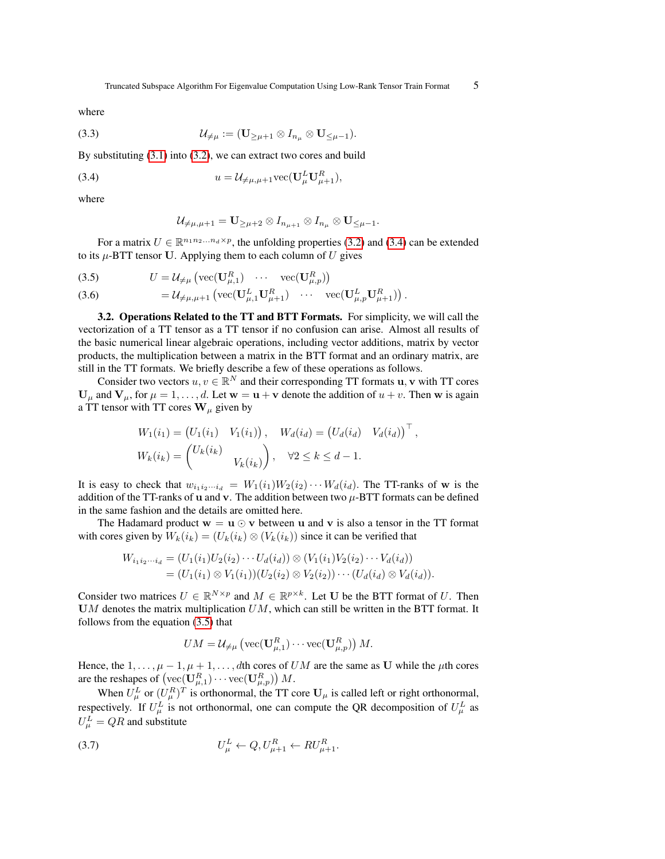where

(3.3) U6=<sup>µ</sup> := (U≥µ+1 ⊗ In<sup>µ</sup> ⊗ U≤µ−1).

By substituting [\(3.1\)](#page-3-2) into [\(3.2\)](#page-3-3), we can extract two cores and build

(3.4) 
$$
u = \mathcal{U}_{\neq \mu,\mu+1} \text{vec}(\mathbf{U}_{\mu}^{L} \mathbf{U}_{\mu+1}^{R}),
$$

where

<span id="page-4-1"></span>
$$
\mathcal{U}_{\neq \mu,\mu+1}=\mathbf{U}_{\geq \mu+2}\otimes I_{n_{\mu+1}}\otimes I_{n_{\mu}}\otimes \mathbf{U}_{\leq \mu-1}.
$$

For a matrix  $U \in \mathbb{R}^{n_1 n_2 ... n_d \times p}$ , the unfolding properties [\(3.2\)](#page-3-3) and [\(3.4\)](#page-4-0) can be extended to its  $\mu$ -BTT tensor U. Applying them to each column of U gives

(3.5) 
$$
U = \mathcal{U}_{\neq \mu} \left( \text{vec}(\mathbf{U}_{\mu,1}^R) \cdots \text{vec}(\mathbf{U}_{\mu,p}^R) \right)
$$

(3.6) 
$$
= \mathcal{U}_{\neq \mu, \mu+1} \left( \text{vec}(\mathbf{U}_{\mu,1}^{L} \mathbf{U}_{\mu+1}^{R}) \cdots \text{vec}(\mathbf{U}_{\mu,p}^{L} \mathbf{U}_{\mu+1}^{R}) \right).
$$

3.2. Operations Related to the TT and BTT Formats. For simplicity, we will call the vectorization of a TT tensor as a TT tensor if no confusion can arise. Almost all results of the basic numerical linear algebraic operations, including vector additions, matrix by vector products, the multiplication between a matrix in the BTT format and an ordinary matrix, are still in the TT formats. We briefly describe a few of these operations as follows.

Consider two vectors  $u, v \in \mathbb{R}^N$  and their corresponding TT formats  $u, v$  with TT cores  $U_{\mu}$  and  $V_{\mu}$ , for  $\mu = 1, \dots, d$ . Let  $w = u + v$  denote the addition of  $u + v$ . Then w is again a TT tensor with TT cores  $W_{\mu}$  given by

$$
W_1(i_1) = (U_1(i_1) V_1(i_1)), W_d(i_d) = (U_d(i_d) V_d(i_d))^\top,
$$
  

$$
W_k(i_k) = \begin{pmatrix} U_k(i_k) & V_k(i_k) \end{pmatrix}, \quad \forall 2 \le k \le d-1.
$$

It is easy to check that  $w_{i_1 i_2 \cdots i_d} = W_1(i_1) W_2(i_2) \cdots W_d(i_d)$ . The TT-ranks of w is the addition of the TT-ranks of **u** and **v**. The addition between two  $\mu$ -BTT formats can be defined in the same fashion and the details are omitted here.

The Hadamard product  $w = u \odot v$  between u and v is also a tensor in the TT format with cores given by  $W_k(i_k) = (U_k(i_k) \otimes (V_k(i_k))$  since it can be verified that

$$
W_{i_1i_2\cdots i_d} = (U_1(i_1)U_2(i_2)\cdots U_d(i_d)) \otimes (V_1(i_1)V_2(i_2)\cdots V_d(i_d))
$$
  
=  $(U_1(i_1) \otimes V_1(i_1))(U_2(i_2) \otimes V_2(i_2))\cdots (U_d(i_d) \otimes V_d(i_d)).$ 

Consider two matrices  $U \in \mathbb{R}^{N \times p}$  and  $M \in \mathbb{R}^{p \times k}$ . Let U be the BTT format of U. Then UM denotes the matrix multiplication  $UM$ , which can still be written in the BTT format. It follows from the equation [\(3.5\)](#page-4-1) that

<span id="page-4-2"></span>
$$
UM = \mathcal{U}_{\neq \mu} \left( \text{vec}(\mathbf{U}_{\mu,1}^R) \cdots \text{vec}(\mathbf{U}_{\mu,p}^R) \right) M.
$$

Hence, the  $1, \ldots, \mu - 1, \mu + 1, \ldots, d$ th cores of  $UM$  are the same as U while the  $\mu$ th cores are the reshapes of  $\left(\text{vec}(\mathbf{U}_{\mu,1}^R)\cdots\text{vec}(\mathbf{U}_{\mu,p}^R)\right)M$ .

When  $U^L_\mu$  or  $(U^R_\mu)^T$  is orthonormal, the TT core  $\mathbf{U}_\mu$  is called left or right orthonormal, respectively. If  $U^L_\mu$  is not orthonormal, one can compute the QR decomposition of  $U^L_\mu$  as  $U^L_\mu = QR$  and substitute

$$
(3.7) \tU_{\mu}^{L} \leftarrow Q, U_{\mu+1}^{R} \leftarrow RU_{\mu+1}^{R}.
$$

<span id="page-4-0"></span>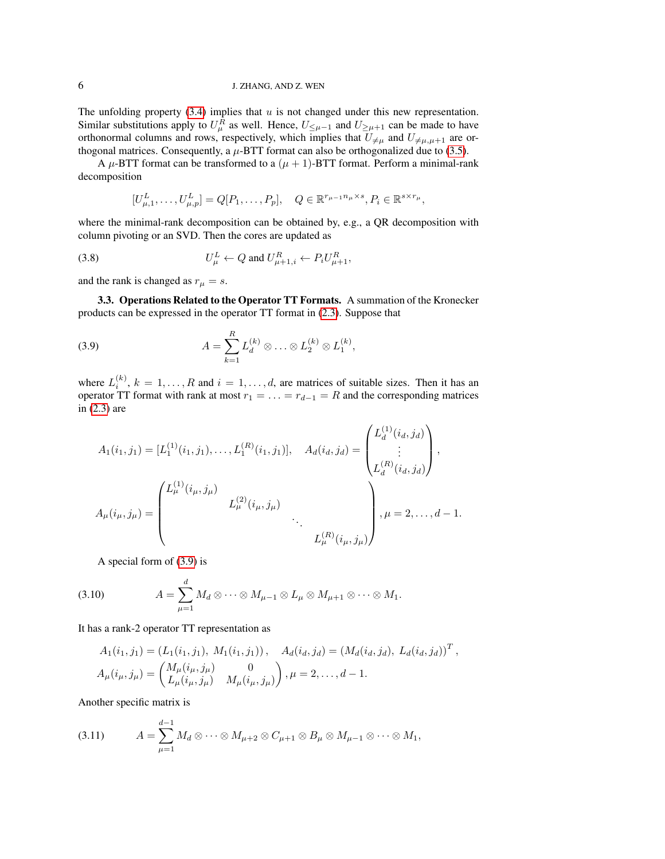## 6 J. ZHANG, AND Z. WEN

The unfolding property  $(3.4)$  implies that  $u$  is not changed under this new representation. Similar substitutions apply to  $U^R_\mu$  as well. Hence,  $U_{\leq \mu-1}$  and  $U_{\geq \mu+1}$  can be made to have orthonormal columns and rows, respectively, which implies that  $U_{\neq\mu}$  and  $U_{\neq\mu,\mu+1}$  are orthogonal matrices. Consequently, a  $\mu$ -BTT format can also be orthogonalized due to [\(3.5\)](#page-4-1).

A  $\mu$ -BTT format can be transformed to a  $(\mu + 1)$ -BTT format. Perform a minimal-rank decomposition

<span id="page-5-1"></span><span id="page-5-0"></span>
$$
[U_{\mu,1}^L,\ldots,U_{\mu,p}^L]=Q[P_1,\ldots,P_p],\quad Q\in\mathbb{R}^{r_{\mu-1}n_{\mu}\times s},P_i\in\mathbb{R}^{s\times r_{\mu}},
$$

where the minimal-rank decomposition can be obtained by, e.g., a QR decomposition with column pivoting or an SVD. Then the cores are updated as

$$
(3.8) \tU\muL \leftarrow Q \text{ and } U\mu+1,iR \leftarrow P_i U\mu+1R,
$$

and the rank is changed as  $r_{\mu} = s$ .

<span id="page-5-2"></span>3.3. Operations Related to the Operator TT Formats. A summation of the Kronecker products can be expressed in the operator TT format in [\(2.3\)](#page-3-4). Suppose that

(3.9) 
$$
A = \sum_{k=1}^{R} L_d^{(k)} \otimes \ldots \otimes L_2^{(k)} \otimes L_1^{(k)},
$$

where  $L_i^{(k)}$ ,  $k = 1, ..., R$  and  $i = 1, ..., d$ , are matrices of suitable sizes. Then it has an operator TT format with rank at most  $r_1 = \ldots = r_{d-1} = R$  and the corresponding matrices in [\(2.3\)](#page-3-4) are

$$
A_1(i_1, j_1) = [L_1^{(1)}(i_1, j_1), \dots, L_1^{(R)}(i_1, j_1)], \quad A_d(i_d, j_d) = \begin{pmatrix} L_d^{(1)}(i_d, j_d) \\ \vdots \\ L_d^{(R)}(i_d, j_d) \end{pmatrix},
$$

$$
A_\mu(i_\mu, j_\mu) = \begin{pmatrix} L_\mu^{(1)}(i_\mu, j_\mu) & & \\ & L_\mu^{(2)}(i_\mu, j_\mu) & & \\ & \ddots & & \\ & & L_\mu^{(R)}(i_\mu, j_\mu) \end{pmatrix}, \mu = 2, \dots, d - 1.
$$

A special form of [\(3.9\)](#page-5-0) is

(3.10) 
$$
A = \sum_{\mu=1}^d M_d \otimes \cdots \otimes M_{\mu-1} \otimes L_{\mu} \otimes M_{\mu+1} \otimes \cdots \otimes M_1.
$$

It has a rank-2 operator TT representation as

$$
A_1(i_1, j_1) = (L_1(i_1, j_1), M_1(i_1, j_1)), A_d(i_d, j_d) = (M_d(i_d, j_d), L_d(i_d, j_d))^T,
$$
  

$$
A_\mu(i_\mu, j_\mu) = \begin{pmatrix} M_\mu(i_\mu, j_\mu) & 0 \\ L_\mu(i_\mu, j_\mu) & M_\mu(i_\mu, j_\mu) \end{pmatrix}, \mu = 2, \dots, d - 1.
$$

Another specific matrix is

$$
(3.11) \tA = \sum_{\mu=1}^{d-1} M_d \otimes \cdots \otimes M_{\mu+2} \otimes C_{\mu+1} \otimes B_{\mu} \otimes M_{\mu-1} \otimes \cdots \otimes M_1,
$$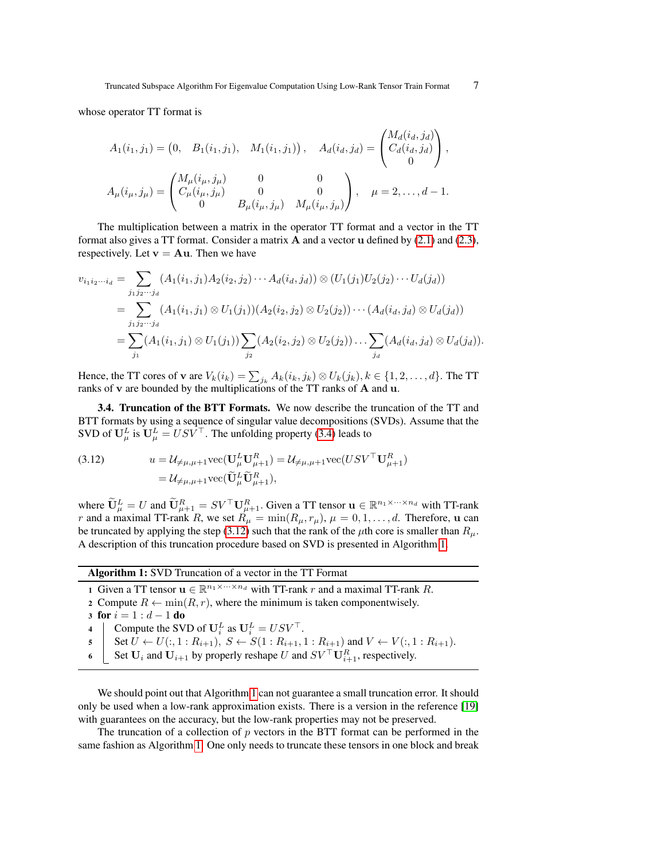whose operator TT format is

$$
A_1(i_1, j_1) = \begin{pmatrix} 0, & B_1(i_1, j_1), & M_1(i_1, j_1) \end{pmatrix}, A_d(i_d, j_d) = \begin{pmatrix} M_d(i_d, j_d) \\ C_d(i_d, j_d) \\ 0 \end{pmatrix},
$$
  

$$
A_\mu(i_\mu, j_\mu) = \begin{pmatrix} M_\mu(i_\mu, j_\mu) & 0 & 0 \\ C_\mu(i_\mu, j_\mu) & 0 & 0 \\ 0 & B_\mu(i_\mu, j_\mu) & M_\mu(i_\mu, j_\mu) \end{pmatrix}, \quad \mu = 2, ..., d - 1.
$$

The multiplication between a matrix in the operator TT format and a vector in the TT format also gives a TT format. Consider a matrix  $\bf{A}$  and a vector u defined by [\(2.1\)](#page-2-2) and [\(2.3\)](#page-3-4), respectively. Let  $v = Au$ . Then we have

$$
v_{i_1i_2\cdots i_d} = \sum_{j_1j_2\cdots j_d} (A_1(i_1,j_1)A_2(i_2,j_2)\cdots A_d(i_d,j_d)) \otimes (U_1(j_1)U_2(j_2)\cdots U_d(j_d))
$$
  
= 
$$
\sum_{j_1j_2\cdots j_d} (A_1(i_1,j_1) \otimes U_1(j_1))(A_2(i_2,j_2) \otimes U_2(j_2))\cdots (A_d(i_d,j_d) \otimes U_d(j_d))
$$
  
= 
$$
\sum_{j_1} (A_1(i_1,j_1) \otimes U_1(j_1)) \sum_{j_2} (A_2(i_2,j_2) \otimes U_2(j_2))\cdots \sum_{j_d} (A_d(i_d,j_d) \otimes U_d(j_d)).
$$

Hence, the TT cores of **v** are  $V_k(i_k) = \sum_{j_k} A_k(i_k, j_k) \otimes U_k(j_k)$ ,  $k \in \{1, 2, ..., d\}$ . The TT ranks of v are bounded by the multiplications of the TT ranks of A and u.

3.4. Truncation of the BTT Formats. We now describe the truncation of the TT and BTT formats by using a sequence of singular value decompositions (SVDs). Assume that the SVD of  $\mathbf{U}_{\mu}^{L}$  is  $\mathbf{U}_{\mu}^{L} = USV^{\top}$ . The unfolding property [\(3.4\)](#page-4-0) leads to

<span id="page-6-0"></span>(3.12) 
$$
u = \mathcal{U}_{\neq \mu,\mu+1} \text{vec}(\mathbf{U}^{L}_{\mu} \mathbf{U}^{R}_{\mu+1}) = \mathcal{U}_{\neq \mu,\mu+1} \text{vec}(USV^{\top} \mathbf{U}^{R}_{\mu+1})
$$

$$
= \mathcal{U}_{\neq \mu,\mu+1} \text{vec}(\tilde{\mathbf{U}}^{L}_{\mu} \tilde{\mathbf{U}}^{R}_{\mu+1}),
$$

where  $\widetilde{\mathbf{U}}_{\mu}^L = U$  and  $\widetilde{\mathbf{U}}_{\mu+1}^R = SV^\top \mathbf{U}_{\mu+1}^R$ . Given a TT tensor  $\mathbf{u} \in \mathbb{R}^{n_1 \times \cdots \times n_d}$  with TT-rank r and a maximal TT-rank R, we set  $R_{\mu} = \min(R_{\mu}, r_{\mu}), \mu = 0, 1, \dots, d$ . Therefore, u can be truncated by applying the step [\(3.12\)](#page-6-0) such that the rank of the  $\mu$ th core is smaller than  $R_{\mu}$ . A description of this truncation procedure based on SVD is presented in Algorithm [1.](#page-6-1)

## Algorithm 1: SVD Truncation of a vector in the TT Format

- <span id="page-6-1"></span>1 Given a TT tensor  $\mathbf{u} \in \mathbb{R}^{n_1 \times \cdots \times n_d}$  with TT-rank r and a maximal TT-rank R.
- 2 Compute  $R \leftarrow \min(R, r)$ , where the minimum is taken componentwisely.
- 3 for  $i = 1 : d 1$  do
- 4 Compute the SVD of  $\mathbf{U}_i^L$  as  $\mathbf{U}_i^L = USV^\top$ .
- 5 Set  $U \leftarrow U(:, 1 : R_{i+1}), S \leftarrow S(1 : R_{i+1}, 1 : R_{i+1})$  and  $V \leftarrow V(:, 1 : R_{i+1}).$
- 6 Set  $U_i$  and  $U_{i+1}$  by properly reshape U and  $SV^{\top}U_{i+1}^R$ , respectively.

We should point out that Algorithm [1](#page-6-1) can not guarantee a small truncation error. It should only be used when a low-rank approximation exists. There is a version in the reference [\[19\]](#page-18-3) with guarantees on the accuracy, but the low-rank properties may not be preserved.

The truncation of a collection of  $p$  vectors in the BTT format can be performed in the same fashion as Algorithm [1.](#page-6-1) One only needs to truncate these tensors in one block and break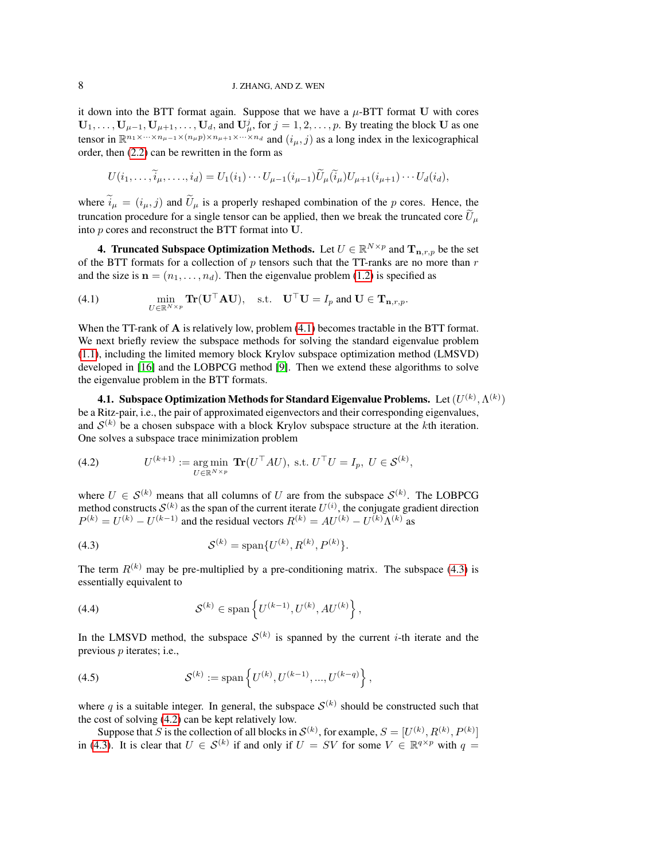## 8 J. ZHANG, AND Z. WEN

it down into the BTT format again. Suppose that we have a  $\mu$ -BTT format U with cores  $U_1, \ldots, U_{\mu-1}, U_{\mu+1}, \ldots, U_d$ , and  $U^j_\mu$ , for  $j = 1, 2, \ldots, p$ . By treating the block U as one tensor in  $\mathbb{R}^{n_1 \times \cdots \times n_{\mu-1} \times (n_\mu p) \times n_{\mu+1} \times \cdots \times n_d}$  and  $(i_\mu, j)$  as a long index in the lexicographical order, then [\(2.2\)](#page-3-5) can be rewritten in the form as

<span id="page-7-1"></span>
$$
U(i_1,\ldots,\widetilde{i}_{\mu},\ldots,i_d)=U_1(i_1)\cdots U_{\mu-1}(i_{\mu-1})\widetilde{U}_{\mu}(\widetilde{i}_{\mu})U_{\mu+1}(i_{\mu+1})\cdots U_d(i_d),
$$

where  $\tilde{i}_{\mu} = (i_{\mu}, j)$  and  $\tilde{U}_{\mu}$  is a properly reshaped combination of the p cores. Hence, the truncation procedure for a single tensor can be applied, then we break the truncated core  $\tilde{U}_u$ into p cores and reconstruct the BTT format into U.

<span id="page-7-0"></span>4. Truncated Subspace Optimization Methods. Let  $U \in \mathbb{R}^{N \times p}$  and  $\mathbf{T}_{\mathbf{n},r,p}$  be the set of the BTT formats for a collection of  $p$  tensors such that the TT-ranks are no more than  $r$ and the size is  $\mathbf{n} = (n_1, \dots, n_d)$ . Then the eigenvalue problem [\(1.2\)](#page-1-0) is specified as

(4.1) 
$$
\min_{U \in \mathbb{R}^{N \times p}} \mathbf{Tr}(\mathbf{U}^{\top} \mathbf{A} \mathbf{U}), \text{ s.t. } \mathbf{U}^{\top} \mathbf{U} = I_p \text{ and } \mathbf{U} \in \mathbf{T}_{\mathbf{n},r,p}.
$$

When the TT-rank of **A** is relatively low, problem  $(4.1)$  becomes tractable in the BTT format. We next briefly review the subspace methods for solving the standard eigenvalue problem [\(1.1\)](#page-0-0), including the limited memory block Krylov subspace optimization method (LMSVD) developed in [\[16\]](#page-18-10) and the LOBPCG method [\[9\]](#page-18-7). Then we extend these algorithms to solve the eigenvalue problem in the BTT formats.

4.1. Subspace Optimization Methods for Standard Eigenvalue Problems.  $\,$  Let  $(U^{(k)},\Lambda^{(k)})$ be a Ritz-pair, i.e., the pair of approximated eigenvectors and their corresponding eigenvalues, and  $\mathcal{S}^{(k)}$  be a chosen subspace with a block Krylov subspace structure at the kth iteration. One solves a subspace trace minimization problem

<span id="page-7-3"></span>(4.2) 
$$
U^{(k+1)} := \underset{U \in \mathbb{R}^{N \times p}}{\arg \min} \mathbf{Tr}(U^{\top}AU), \text{ s.t. } U^{\top}U = I_p, \ U \in \mathcal{S}^{(k)},
$$

where  $U \in \mathcal{S}^{(k)}$  means that all columns of U are from the subspace  $\mathcal{S}^{(k)}$ . The LOBPCG method constructs  $\mathcal{S}^{(k)}$  as the span of the current iterate  $U^{(i)}$ , the conjugate gradient direction  $P^{(k)} = U^{(k)} - U^{(k-1)}$  and the residual vectors  $R^{(k)} = AU^{(k)} - U^{(k)} \Lambda^{(k)}$  as

<span id="page-7-2"></span>(4.3) 
$$
\mathcal{S}^{(k)} = \text{span}\{U^{(k)}, R^{(k)}, P^{(k)}\}.
$$

<span id="page-7-4"></span>The term  $R^{(k)}$  may be pre-multiplied by a pre-conditioning matrix. The subspace [\(4.3\)](#page-7-2) is essentially equivalent to

(4.4) 
$$
\mathcal{S}^{(k)} \in \text{span}\left\{U^{(k-1)}, U^{(k)}, AU^{(k)}\right\},\
$$

In the LMSVD method, the subspace  $S^{(k)}$  is spanned by the current *i*-th iterate and the previous  $p$  iterates; i.e.,

(4.5) 
$$
\mathcal{S}^{(k)} := \text{span}\left\{U^{(k)}, U^{(k-1)}, ..., U^{(k-q)}\right\},
$$

where q is a suitable integer. In general, the subspace  $\mathcal{S}^{(k)}$  should be constructed such that the cost of solving [\(4.2\)](#page-7-3) can be kept relatively low.

Suppose that S is the collection of all blocks in  $\mathcal{S}^{(k)}$ , for example,  $S = [U^{(k)}, R^{(k)}, P^{(k)}]$ in [\(4.3\)](#page-7-2). It is clear that  $U \in S^{(k)}$  if and only if  $U = SV$  for some  $V \in \mathbb{R}^{q \times p}$  with  $q =$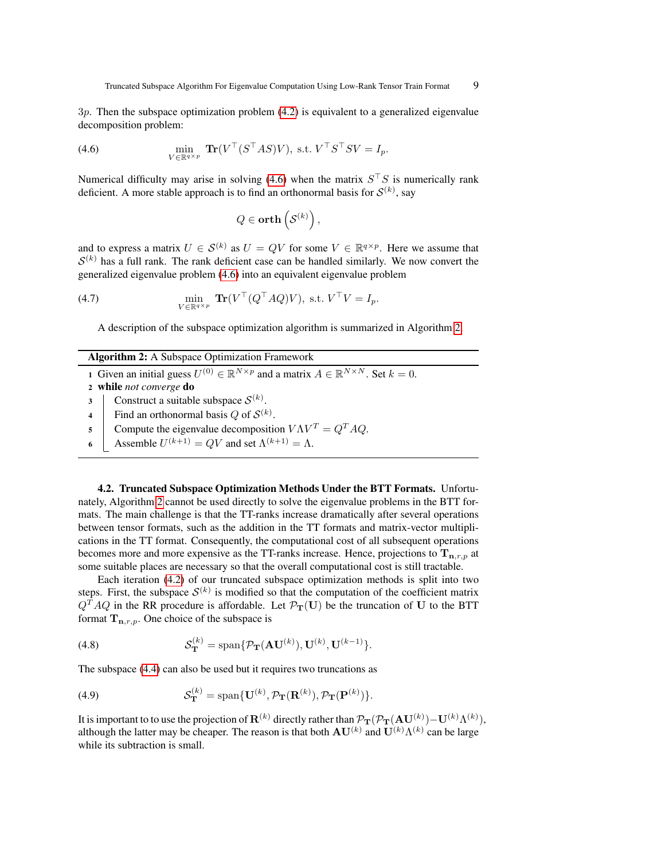3p. Then the subspace optimization problem [\(4.2\)](#page-7-3) is equivalent to a generalized eigenvalue decomposition problem:

(4.6) 
$$
\min_{V \in \mathbb{R}^{q \times p}} \mathbf{Tr}(V^\top (S^\top AS)V), \text{ s.t. } V^\top S^\top SV = I_p.
$$

Numerical difficulty may arise in solving [\(4.6\)](#page-8-0) when the matrix  $S^{\dagger}S$  is numerically rank deficient. A more stable approach is to find an orthonormal basis for  $\mathcal{S}^{(k)}$ , say

<span id="page-8-0"></span>
$$
Q\in \mathbf{orth}\left(\mathcal{S}^{(k)}\right),
$$

and to express a matrix  $U \in \mathcal{S}^{(k)}$  as  $U = QV$  for some  $V \in \mathbb{R}^{q \times p}$ . Here we assume that  $S^{(k)}$  has a full rank. The rank deficient case can be handled similarly. We now convert the generalized eigenvalue problem [\(4.6\)](#page-8-0) into an equivalent eigenvalue problem

(4.7) 
$$
\min_{V \in \mathbb{R}^{q \times p}} \mathbf{Tr}(V^\top (Q^\top A Q)V), \text{ s.t. } V^\top V = I_p.
$$

A description of the subspace optimization algorithm is summarized in Algorithm [2.](#page-8-1)

<span id="page-8-1"></span>

| <b>Algorithm 2:</b> A Subspace Optimization Framework |  |  |  |  |
|-------------------------------------------------------|--|--|--|--|
|-------------------------------------------------------|--|--|--|--|

- 1 Given an initial guess  $U^{(0)} \in \mathbb{R}^{N \times p}$  and a matrix  $A \in \mathbb{R}^{N \times N}$ . Set  $k = 0$ .
- <sup>2</sup> while *not converge* do
- 3 Construct a suitable subspace  $\mathcal{S}^{(k)}$ .
- 4 | Find an orthonormal basis Q of  $\mathcal{S}^{(k)}$ .
- 5 Compute the eigenvalue decomposition  $V\Lambda V^T = Q^T A Q$ .
- 6 Assemble  $U^{(k+1)} = QV$  and set  $\Lambda^{(k+1)} = \Lambda$ .

4.2. Truncated Subspace Optimization Methods Under the BTT Formats. Unfortunately, Algorithm [2](#page-8-1) cannot be used directly to solve the eigenvalue problems in the BTT formats. The main challenge is that the TT-ranks increase dramatically after several operations between tensor formats, such as the addition in the TT formats and matrix-vector multiplications in the TT format. Consequently, the computational cost of all subsequent operations becomes more and more expensive as the TT-ranks increase. Hence, projections to  $T_{n,r,p}$  at some suitable places are necessary so that the overall computational cost is still tractable.

Each iteration [\(4.2\)](#page-7-3) of our truncated subspace optimization methods is split into two steps. First, the subspace  $\mathcal{S}^{(k)}$  is modified so that the computation of the coefficient matrix  $Q<sup>T</sup>AQ$  in the RR procedure is affordable. Let  $\mathcal{P}_{T}(U)$  be the truncation of U to the BTT format  $T_{n,r,p}$ . One choice of the subspace is

(4.8) 
$$
\mathcal{S}_{\mathbf{T}}^{(k)} = \text{span}\{\mathcal{P}_{\mathbf{T}}(\mathbf{A}\mathbf{U}^{(k)}), \mathbf{U}^{(k)}, \mathbf{U}^{(k-1)}\}.
$$

The subspace [\(4.4\)](#page-7-4) can also be used but it requires two truncations as

(4.9) 
$$
\mathcal{S}_{\mathbf{T}}^{(k)} = \text{span}\{\mathbf{U}^{(k)}, \mathcal{P}_{\mathbf{T}}(\mathbf{R}^{(k)}), \mathcal{P}_{\mathbf{T}}(\mathbf{P}^{(k)})\}.
$$

It is important to to use the projection of  ${\bf R}^{(k)}$  directly rather than  $\mathcal{P}_{\bf T}(\mathcal{P}_{\bf T}({\bf A} {\bf U}^{(k)}) - {\bf U}^{(k)} \Lambda^{(k)}),$ although the latter may be cheaper. The reason is that both  $AU^{(k)}$  and  $U^{(k)}\Lambda^{(k)}$  can be large while its subtraction is small.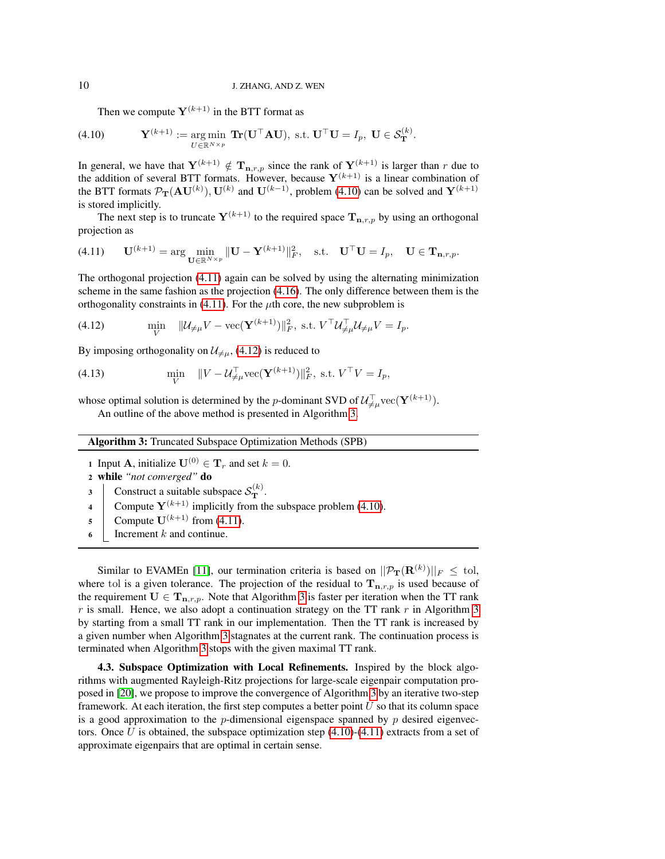<span id="page-9-0"></span>Then we compute  $Y^{(k+1)}$  in the BTT format as

(4.10) 
$$
\mathbf{Y}^{(k+1)} := \underset{U \in \mathbb{R}^{N \times p}}{\arg \min} \mathbf{Tr}(\mathbf{U}^\top \mathbf{A} \mathbf{U}), \text{ s.t. } \mathbf{U}^\top \mathbf{U} = I_p, \mathbf{U} \in \mathcal{S}_{\mathbf{T}}^{(k)}.
$$

In general, we have that  $Y^{(k+1)} \notin T_{n,r,p}$  since the rank of  $Y^{(k+1)}$  is larger than r due to the addition of several BTT formats. However, because  $Y^{(k+1)}$  is a linear combination of the BTT formats  $\mathcal{P}_{\bf T}({\bf A} {\bf U}^{(k)}), {\bf U}^{(k)}$  and  ${\bf U}^{(k-1)}$ , problem [\(4.10\)](#page-9-0) can be solved and  ${\bf Y}^{(k+1)}$ is stored implicitly.

<span id="page-9-1"></span>The next step is to truncate  $Y^{(k+1)}$  to the required space  $T_{n,r,p}$  by using an orthogonal projection as

$$
(4.11) \qquad \mathbf{U}^{(k+1)} = \arg\min_{\mathbf{U}\in\mathbb{R}^{N\times p}} \|\mathbf{U} - \mathbf{Y}^{(k+1)}\|_F^2, \quad \text{s.t.} \quad \mathbf{U}^\top \mathbf{U} = I_p, \quad \mathbf{U} \in \mathbf{T}_{\mathbf{n},r,p}.
$$

The orthogonal projection [\(4.11\)](#page-9-1) again can be solved by using the alternating minimization scheme in the same fashion as the projection [\(4.16\)](#page-10-0). The only difference between them is the orthogonality constraints in [\(4.11\)](#page-9-1). For the  $\mu$ th core, the new subproblem is

<span id="page-9-2"></span>(4.12) 
$$
\min_{V} \quad \|\mathcal{U}_{\neq \mu} V - \text{vec}(\mathbf{Y}^{(k+1)})\|_{F}^{2}, \text{ s.t. } V^{\top} \mathcal{U}_{\neq \mu}^{\top} \mathcal{U}_{\neq \mu} V = I_{p}.
$$

By imposing orthogonality on  $\mathcal{U}_{\neq\mu}$ , [\(4.12\)](#page-9-2) is reduced to

(4.13) 
$$
\min_{V} \quad ||V - U_{\neq \mu}^{\top} \text{vec}(\mathbf{Y}^{(k+1)})||_F^2, \text{ s.t. } V^{\top}V = I_p,
$$

whose optimal solution is determined by the *p*-dominant SVD of  $\mathcal{U}_{\neq\mu}^{\top}$  vec( $\mathbf{Y}^{(k+1)}$ ).

An outline of the above method is presented in Algorithm [3.](#page-9-3)

| <b>Algorithm 3:</b> Truncated Subspace Optimization Methods (SPB) |  |  |  |  |  |
|-------------------------------------------------------------------|--|--|--|--|--|
|-------------------------------------------------------------------|--|--|--|--|--|

- 1 Input **A**, initialize  $U^{(0)} \in T_r$  and set  $k = 0$ .
- <sup>2</sup> while *"not converged"* do
- 3 Construct a suitable subspace  $\mathcal{S}_{\mathbf{T}}^{(k)}$ .
- 4 Compute  $Y^{(k+1)}$  implicitly from the subspace problem [\(4.10\)](#page-9-0).
- 5 Compute  $\mathbf{U}^{(k+1)}$  from [\(4.11\)](#page-9-1).
- <span id="page-9-3"></span>6 | Increment  $k$  and continue.

Similar to EVAMEn [\[11\]](#page-18-9), our termination criteria is based on  $||\mathcal{P}_{\mathbf{T}}(\mathbf{R}^{(k)})||_F\,\leq\,\text{tol},$ where tol is a given tolerance. The projection of the residual to  $T_{n,r,p}$  is used because of the requirement  $U \in T_{n,r,p}$ . Note that Algorithm [3](#page-9-3) is faster per iteration when the TT rank r is small. Hence, we also adopt a continuation strategy on the TT rank  $r$  in Algorithm [3](#page-9-3) by starting from a small TT rank in our implementation. Then the TT rank is increased by a given number when Algorithm [3](#page-9-3) stagnates at the current rank. The continuation process is terminated when Algorithm [3](#page-9-3) stops with the given maximal TT rank.

4.3. Subspace Optimization with Local Refinements. Inspired by the block algorithms with augmented Rayleigh-Ritz projections for large-scale eigenpair computation proposed in [\[20\]](#page-18-11), we propose to improve the convergence of Algorithm [3](#page-9-3) by an iterative two-step framework. At each iteration, the first step computes a better point  $U$  so that its column space is a good approximation to the  $p$ -dimensional eigenspace spanned by  $p$  desired eigenvectors. Once U is obtained, the subspace optimization step  $(4.10)-(4.11)$  $(4.10)-(4.11)$  $(4.10)-(4.11)$  extracts from a set of approximate eigenpairs that are optimal in certain sense.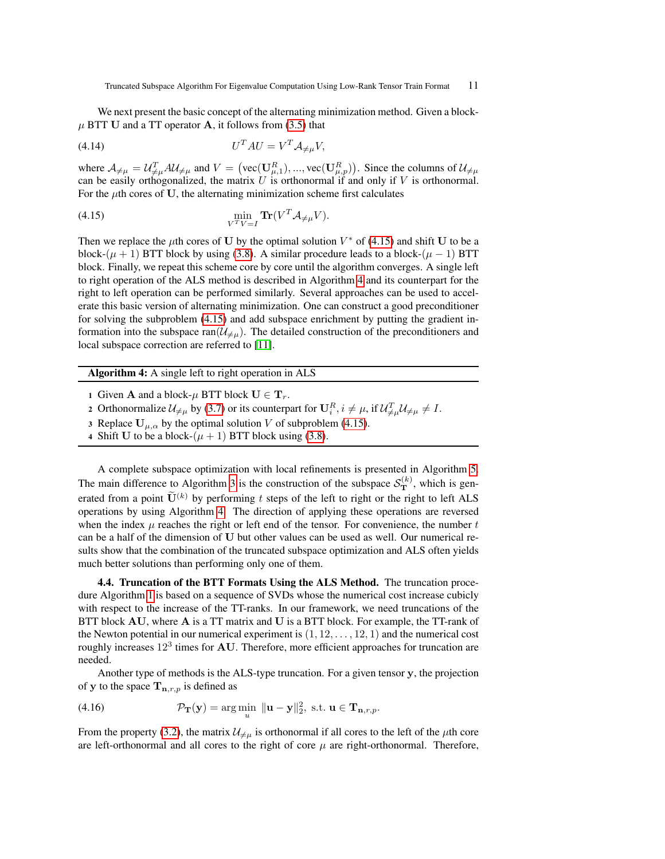We next present the basic concept of the alternating minimization method. Given a block- $\mu$  BTT U and a TT operator A, it follows from [\(3.5\)](#page-4-1) that

$$
(4.14) \t\t\t UT A U = VT A\neq \mu V,
$$

where  $\mathcal{A}_{\neq \mu} = \mathcal{U}_{\neq \mu}^T \mathcal{A} \mathcal{U}_{\neq \mu}$  and  $V = \left(\text{vec}(\mathbf{U}_{\mu,1}^R), ..., \text{vec}(\mathbf{U}_{\mu,p}^R)\right)$ . Since the columns of  $\mathcal{U}_{\neq \mu}$ can be easily orthogonalized, the matrix  $U$  is orthonormal if and only if  $V$  is orthonormal. For the  $\mu$ th cores of U, the alternating minimization scheme first calculates

<span id="page-10-1"></span>(4.15) 
$$
\min_{V^T V = I} \mathbf{Tr}(V^T \mathcal{A}_{\neq \mu} V).
$$

Then we replace the  $\mu$ th cores of U by the optimal solution  $V^*$  of [\(4.15\)](#page-10-1) and shift U to be a block-( $\mu$  + 1) BTT block by using [\(3.8\)](#page-5-1). A similar procedure leads to a block-( $\mu$  – 1) BTT block. Finally, we repeat this scheme core by core until the algorithm converges. A single left to right operation of the ALS method is described in Algorithm [4](#page-10-2) and its counterpart for the right to left operation can be performed similarly. Several approaches can be used to accelerate this basic version of alternating minimization. One can construct a good preconditioner for solving the subproblem [\(4.15\)](#page-10-1) and add subspace enrichment by putting the gradient information into the subspace ran $(\mathcal{U}_{\neq\mu})$ . The detailed construction of the preconditioners and local subspace correction are referred to [\[11\]](#page-18-9).

Algorithm 4: A single left to right operation in ALS

- 1 Given **A** and a block- $\mu$  BTT block  $U \in T_r$ .
- 2 Orthonormalize  $\mathcal{U}_{\neq \mu}$  by [\(3.7\)](#page-4-2) or its counterpart for  $\mathbf{U}_{i}^{R}$ ,  $i \neq \mu$ , if  $\mathcal{U}_{\neq \mu}^{T} \mathcal{U}_{\neq \mu} \neq I$ .
- 3 Replace  $U_{\mu,\alpha}$  by the optimal solution V of subproblem [\(4.15\)](#page-10-1).
- <span id="page-10-2"></span>4 Shift U to be a block- $(\mu + 1)$  BTT block using [\(3.8\)](#page-5-1).

A complete subspace optimization with local refinements is presented in Algorithm [5.](#page-11-0) The main difference to Algorithm [3](#page-9-3) is the construction of the subspace  $S_{\mathbf{T}}^{(k)}$ , which is generated from a point  $\widetilde{\mathbf{U}}^{(k)}$  by performing t steps of the left to right or the right to left ALS operations by using Algorithm [4.](#page-10-2) The direction of applying these operations are reversed when the index  $\mu$  reaches the right or left end of the tensor. For convenience, the number t can be a half of the dimension of U but other values can be used as well. Our numerical results show that the combination of the truncated subspace optimization and ALS often yields much better solutions than performing only one of them.

4.4. Truncation of the BTT Formats Using the ALS Method. The truncation procedure Algorithm [1](#page-6-1) is based on a sequence of SVDs whose the numerical cost increase cubicly with respect to the increase of the TT-ranks. In our framework, we need truncations of the BTT block AU, where A is a TT matrix and U is a BTT block. For example, the TT-rank of the Newton potential in our numerical experiment is  $(1, 12, \ldots, 12, 1)$  and the numerical cost roughly increases  $12^3$  times for AU. Therefore, more efficient approaches for truncation are needed.

<span id="page-10-0"></span>Another type of methods is the ALS-type truncation. For a given tensor y, the projection of y to the space  $T_{n,r,p}$  is defined as

(4.16) 
$$
\mathcal{P}_{\mathbf{T}}(\mathbf{y}) = \arg\min_{u} \|\mathbf{u} - \mathbf{y}\|_{2}^{2}, \text{ s.t. } \mathbf{u} \in \mathbf{T}_{\mathbf{n},r,p}.
$$

From the property [\(3.2\)](#page-3-3), the matrix  $\mathcal{U}_{\neq \mu}$  is orthonormal if all cores to the left of the  $\mu$ th core are left-orthonormal and all cores to the right of core  $\mu$  are right-orthonormal. Therefore,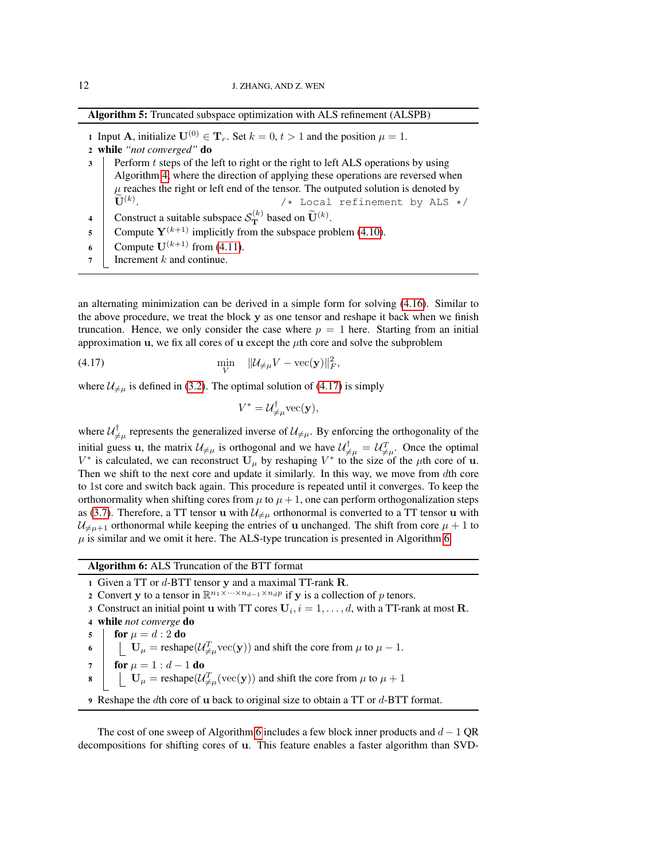Algorithm 5: Truncated subspace optimization with ALS refinement (ALSPB)

1 Input **A**, initialize  $U^{(0)} \in T_r$ . Set  $k = 0, t > 1$  and the position  $\mu = 1$ .

- <sup>2</sup> while *"not converged"* do
- $3$  Perform t steps of the left to right or the right to left ALS operations by using Algorithm [4,](#page-10-2) where the direction of applying these operations are reversed when  $\mu$  reaches the right or left end of the tensor. The outputed solution is denoted by  $\mathbf{U}^{(k)}$ .  $/*$  Local refinement by ALS  $*/$
- 4 Construct a suitable subspace  $S_{\mathbf{T}}^{(k)}$  based on  $\widetilde{\mathbf{U}}^{(k)}$ .
- 5 Compute  $Y^{(k+1)}$  implicitly from the subspace problem [\(4.10\)](#page-9-0).
- 6 Compute  $\mathbf{U}^{(k+1)}$  from [\(4.11\)](#page-9-1).
- <span id="page-11-0"></span>7 | Increment  $k$  and continue.

an alternating minimization can be derived in a simple form for solving [\(4.16\)](#page-10-0). Similar to the above procedure, we treat the block y as one tensor and reshape it back when we finish truncation. Hence, we only consider the case where  $p = 1$  here. Starting from an initial approximation u, we fix all cores of u except the  $\mu$ th core and solve the subproblem

(4.17) 
$$
\min_{V} \quad \|\mathcal{U}_{\neq \mu} V - \text{vec}(\mathbf{y})\|_{F}^{2},
$$

where  $\mathcal{U}_{\neq \mu}$  is defined in [\(3.2\)](#page-3-3). The optimal solution of [\(4.17\)](#page-11-1) is simply

<span id="page-11-1"></span>
$$
V^* = \mathcal{U}_{\neq \mu}^{\mathsf{T}} \text{vec}(\mathbf{y}),
$$

where  $\mathcal{U}_{\neq\mu}^{\dagger}$  represents the generalized inverse of  $\mathcal{U}_{\neq\mu}$ . By enforcing the orthogonality of the initial guess u, the matrix  $\mathcal{U}_{\neq \mu}$  is orthogonal and we have  $\mathcal{U}_{\neq \mu}^{\dagger} = \mathcal{U}_{\neq \mu}^{T}$ . Once the optimal  $V^*$  is calculated, we can reconstruct  $U_\mu$  by reshaping  $V^*$  to the size of the  $\mu$ th core of **u**. Then we shift to the next core and update it similarly. In this way, we move from dth core to 1st core and switch back again. This procedure is repeated until it converges. To keep the orthonormality when shifting cores from  $\mu$  to  $\mu + 1$ , one can perform orthogonalization steps as [\(3.7\)](#page-4-2). Therefore, a TT tensor u with  $\mathcal{U}_{\neq \mu}$  orthonormal is converted to a TT tensor u with  $\mathcal{U}_{\neq\mu+1}$  orthonormal while keeping the entries of u unchanged. The shift from core  $\mu + 1$  to  $\mu$  is similar and we omit it here. The ALS-type truncation is presented in Algorithm [6.](#page-11-2)

<span id="page-11-2"></span>Algorithm 6: ALS Truncation of the BTT format

1 Given a TT or  $d$ -BTT tensor y and a maximal TT-rank  $R$ .

2 Convert y to a tensor in  $\mathbb{R}^{n_1 \times \cdots \times n_{d-1} \times n_d p}$  if y is a collection of p tenors.

3 Construct an initial point **u** with TT cores  $U_i$ ,  $i = 1, \ldots, d$ , with a TT-rank at most **R**.

<sup>4</sup> while *not converge* do

5 **for**  $\mu = d : 2$  do

6  $\bigcup_{\mu}$  U<sub> $\mu$ </sub> = reshape( $\mathcal{U}_{\neq\mu}^T$  vec(y)) and shift the core from  $\mu$  to  $\mu - 1$ .

7 | for 
$$
\mu = 1 : d - 1
$$
 do

$$
\mathbf{8} \quad \boxed{\quad \mathbf{U}_{\mu} = \text{reshape}(U_{\neq \mu}^{T}(\text{vec}(\mathbf{y})) \text{ and shift the core from } \mu \text{ to } \mu + 1)}
$$

9 Reshape the dth core of u back to original size to obtain a TT or  $d$ -BTT format.

The cost of one sweep of Algorithm [6](#page-11-2) includes a few block inner products and  $d - 1$  QR decompositions for shifting cores of u. This feature enables a faster algorithm than SVD-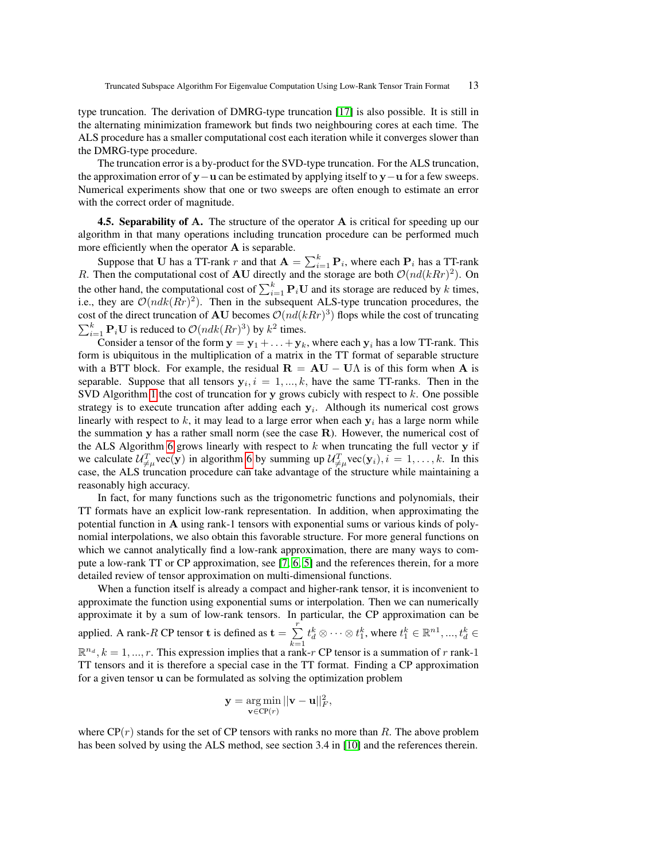type truncation. The derivation of DMRG-type truncation [\[17\]](#page-18-12) is also possible. It is still in the alternating minimization framework but finds two neighbouring cores at each time. The ALS procedure has a smaller computational cost each iteration while it converges slower than the DMRG-type procedure.

The truncation error is a by-product for the SVD-type truncation. For the ALS truncation, the approximation error of y−u can be estimated by applying itself to y−u for a few sweeps. Numerical experiments show that one or two sweeps are often enough to estimate an error with the correct order of magnitude.

4.5. Separability of A. The structure of the operator A is critical for speeding up our algorithm in that many operations including truncation procedure can be performed much more efficiently when the operator  $A$  is separable.

Suppose that U has a TT-rank r and that  $A = \sum_{i=1}^{k} P_i$ , where each  $P_i$  has a TT-rank R. Then the computational cost of AU directly and the storage are both  $\mathcal{O}(nd(kRr)^2)$ . On the other hand, the computational cost of  $\sum_{i=1}^{k} \mathbf{P}_i \mathbf{U}$  and its storage are reduced by k times, i.e., they are  $\mathcal{O}(ndk(Rr)^2)$ . Then in the subsequent ALS-type truncation procedures, the cost of the direct truncation of **AU** becomes  $O(nd(kRr)^3)$  flops while the cost of truncating  $\sum_{i=1}^{k} \mathbf{P}_i \mathbf{U}$  is reduced to  $\mathcal{O}(ndk(Rr)^3)$  by  $k^2$  times.

Consider a tensor of the form  $y = y_1 + ... + y_k$ , where each  $y_i$  has a low TT-rank. This form is ubiquitous in the multiplication of a matrix in the TT format of separable structure with a BTT block. For example, the residual  $\mathbf{R} = \mathbf{A}\mathbf{U} - \mathbf{U}\Lambda$  is of this form when  $\mathbf{A}$  is separable. Suppose that all tensors  $y_i$ ,  $i = 1, ..., k$ , have the same TT-ranks. Then in the SVD Algorithm [1](#page-6-1) the cost of truncation for y grows cubicly with respect to k. One possible strategy is to execute truncation after adding each  $y_i$ . Although its numerical cost grows linearly with respect to k, it may lead to a large error when each  $y_i$  has a large norm while the summation y has a rather small norm (see the case R). However, the numerical cost of the ALS Algorithm [6](#page-11-2) grows linearly with respect to  $k$  when truncating the full vector  $y$  if we calculate  $\mathcal{U}_{\neq\mu}^T$  vec(y) in algorithm [6](#page-11-2) by summing up  $\mathcal{U}_{\neq\mu}^T$  vec(y<sub>i</sub>),  $i = 1, ..., k$ . In this case, the ALS truncation procedure can take advantage of the structure while maintaining a reasonably high accuracy.

In fact, for many functions such as the trigonometric functions and polynomials, their TT formats have an explicit low-rank representation. In addition, when approximating the potential function in A using rank-1 tensors with exponential sums or various kinds of polynomial interpolations, we also obtain this favorable structure. For more general functions on which we cannot analytically find a low-rank approximation, there are many ways to compute a low-rank TT or CP approximation, see [\[7,](#page-18-13) [6,](#page-17-2) [5\]](#page-17-1) and the references therein, for a more detailed review of tensor approximation on multi-dimensional functions.

When a function itself is already a compact and higher-rank tensor, it is inconvenient to approximate the function using exponential sums or interpolation. Then we can numerically approximate it by a sum of low-rank tensors. In particular, the CP approximation can be applied. A rank-R CP tensor **t** is defined as  $\mathbf{t} = \sum_{r=1}^{r}$  $k=1$  $t_d^k\otimes \cdots \otimes t_1^k$ , where  $t_1^k \in \mathbb{R}^{n1}, ..., t_d^k \in$  $\mathbb{R}^{n_d}, k = 1, ..., r$ . This expression implies that a rank-r CP tensor is a summation of r rank-1 TT tensors and it is therefore a special case in the TT format. Finding a CP approximation for a given tensor u can be formulated as solving the optimization problem

$$
\mathbf{y} = \underset{\mathbf{v} \in \text{CP}(r)}{\arg \min} ||\mathbf{v} - \mathbf{u}||_F^2,
$$

where  $\mathbb{CP}(r)$  stands for the set of CP tensors with ranks no more than R. The above problem has been solved by using the ALS method, see section 3.4 in [\[10\]](#page-18-0) and the references therein.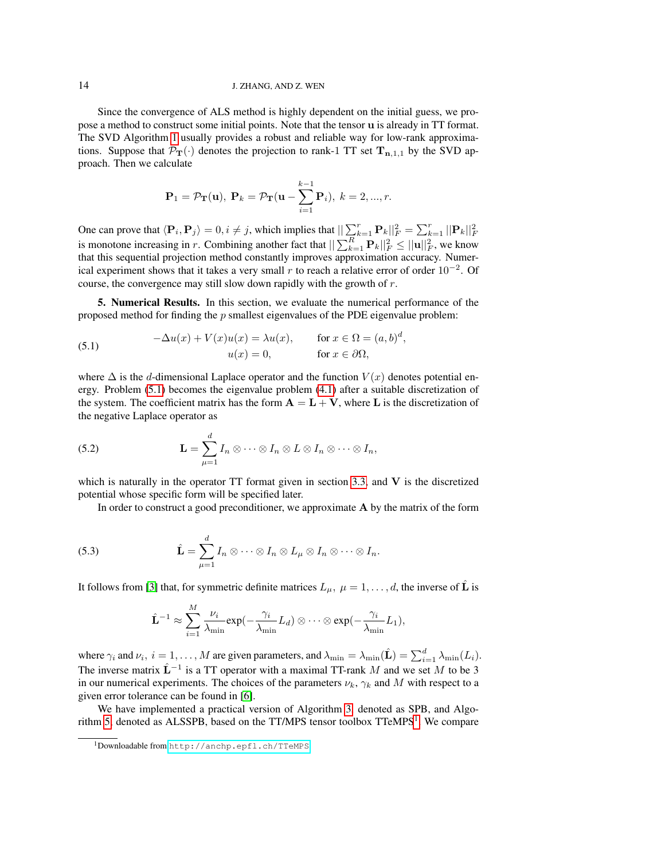## 14 J. ZHANG, AND Z. WEN

Since the convergence of ALS method is highly dependent on the initial guess, we propose a method to construct some initial points. Note that the tensor u is already in TT format. The SVD Algorithm [1](#page-6-1) usually provides a robust and reliable way for low-rank approximations. Suppose that  $\mathcal{P}_{T}(\cdot)$  denotes the projection to rank-1 TT set  $T_{n,1,1}$  by the SVD approach. Then we calculate

<span id="page-13-1"></span>
$$
\mathbf{P}_1 = \mathcal{P}_{\mathbf{T}}(\mathbf{u}), \ \mathbf{P}_k = \mathcal{P}_{\mathbf{T}}(\mathbf{u} - \sum_{i=1}^{k-1} \mathbf{P}_i), \ k = 2, ..., r.
$$

One can prove that  $\langle \mathbf{P}_i, \mathbf{P}_j \rangle = 0, i \neq j$ , which implies that  $\|\sum_{k=1}^r \mathbf{P}_k\|_F^2 = \sum_{k=1}^r ||\mathbf{P}_k||_F^2$ <br>is monotone increasing in r. Combining another fact that  $\|\sum_{k=1}^R \mathbf{P}_k\|_F^2 \leq ||\mathbf{u}||_F^2$ , we that this sequential projection method constantly improves approximation accuracy. Numerical experiment shows that it takes a very small r to reach a relative error of order  $10^{-2}$ . Of course, the convergence may still slow down rapidly with the growth of r.

<span id="page-13-0"></span>5. Numerical Results. In this section, we evaluate the numerical performance of the proposed method for finding the  $p$  smallest eigenvalues of the PDE eigenvalue problem:

(5.1) 
$$
-\Delta u(x) + V(x)u(x) = \lambda u(x), \quad \text{for } x \in \Omega = (a, b)^d,
$$

$$
u(x) = 0, \quad \text{for } x \in \partial\Omega,
$$

where  $\Delta$  is the d-dimensional Laplace operator and the function  $V(x)$  denotes potential energy. Problem [\(5.1\)](#page-13-1) becomes the eigenvalue problem [\(4.1\)](#page-7-1) after a suitable discretization of the system. The coefficient matrix has the form  $\mathbf{A} = \mathbf{L} + \mathbf{V}$ , where L is the discretization of the negative Laplace operator as

<span id="page-13-4"></span>(5.2) 
$$
\mathbf{L} = \sum_{\mu=1}^d I_n \otimes \cdots \otimes I_n \otimes L \otimes I_n \otimes \cdots \otimes I_n,
$$

which is naturally in the operator  $TT$  format given in section [3.3,](#page-5-2) and  $V$  is the discretized potential whose specific form will be specified later.

<span id="page-13-3"></span>In order to construct a good preconditioner, we approximate  $A$  by the matrix of the form

(5.3) 
$$
\hat{\mathbf{L}} = \sum_{\mu=1}^d I_n \otimes \cdots \otimes I_n \otimes L_{\mu} \otimes I_n \otimes \cdots \otimes I_n.
$$

It follows from [\[3\]](#page-17-3) that, for symmetric definite matrices  $L_{\mu}$ ,  $\mu = 1, \dots, d$ , the inverse of  $\hat{L}$  is

$$
\hat{\mathbf{L}}^{-1} \approx \sum_{i=1}^{M} \frac{\nu_i}{\lambda_{\min}} \exp(-\frac{\gamma_i}{\lambda_{\min}} L_d) \otimes \cdots \otimes \exp(-\frac{\gamma_i}{\lambda_{\min}} L_1),
$$

where  $\gamma_i$  and  $\nu_i$ ,  $i = 1, \ldots, M$  are given parameters, and  $\lambda_{\min} = \lambda_{\min}(\hat{\mathbf{L}}) = \sum_{i=1}^d \lambda_{\min}(L_i)$ . The inverse matrix  $\hat{L}^{-1}$  is a TT operator with a maximal TT-rank M and we set M to be 3 in our numerical experiments. The choices of the parameters  $\nu_k$ ,  $\gamma_k$  and M with respect to a given error tolerance can be found in [\[6\]](#page-17-2).

We have implemented a practical version of Algorithm [3,](#page-9-3) denoted as SPB, and Algo-rithm [5,](#page-11-0) denoted as ALSSPB, based on the TT/MPS tensor toolbox  $T$ TeMPS<sup>[1](#page-13-2)</sup>. We compare

<span id="page-13-2"></span><sup>1</sup>Downloadable from <http://anchp.epfl.ch/TTeMPS>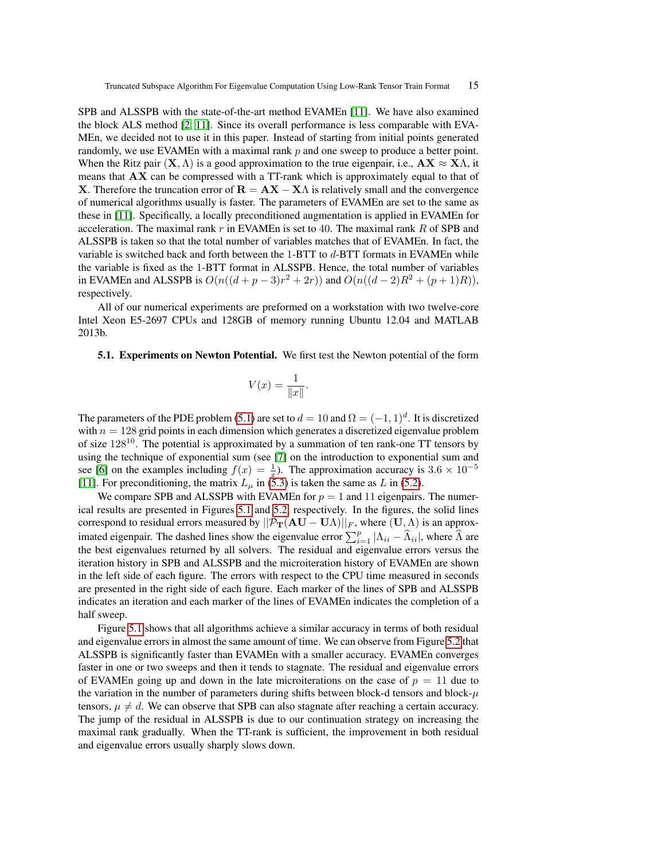SPB and ALSSPB with the state-of-the-art method EVAMEn [\[11\]](#page-18-9). We have also examined the block ALS method [\[2,](#page-16-1) [11\]](#page-18-9). Since its overall performance is less comparable with EVA-MEn, we decided not to use it in this paper. Instead of starting from initial points generated randomly, we use EVAMEn with a maximal rank  $p$  and one sweep to produce a better point. When the Ritz pair  $(X, \Lambda)$  is a good approximation to the true eigenpair, i.e.,  $AX \approx X\Lambda$ , it means that  $AX$  can be compressed with a TT-rank which is approximately equal to that of X. Therefore the truncation error of  $\mathbf{R} = \mathbf{A}\mathbf{X} - \mathbf{X}\Lambda$  is relatively small and the convergence of numerical algorithms usually is faster. The parameters of EVAMEn are set to the same as these in [\[11\]](#page-18-9). Specifically, a locally preconditioned augmentation is applied in EVAMEn for acceleration. The maximal rank r in EVAMEn is set to 40. The maximal rank R of SPB and ALSSPB is taken so that the total number of variables matches that of EVAMEn. In fact, the variable is switched back and forth between the 1-BTT to d-BTT formats in EVAMEn while the variable is fixed as the 1-BTT format in ALSSPB. Hence, the total number of variables in EVAMEn and ALSSPB is  $O(n((d+p-3)r^2+2r))$  and  $O(n((d-2)R^2+(p+1)R))$ , respectively.

All of our numerical experiments are preformed on a workstation with two twelve-core Intel Xeon E5-2697 CPUs and 128GB of memory running Ubuntu 12.04 and MATLAB 2013b.

5.1. Experiments on Newton Potential. We first test the Newton potential of the form

$$
V(x) = \frac{1}{\|x\|}.
$$

The parameters of the PDE problem [\(5.1\)](#page-13-1) are set to  $d = 10$  and  $\Omega = (-1, 1)^d$ . It is discretized with  $n = 128$  grid points in each dimension which generates a discretized eigenvalue problem of size 128<sup>10</sup>. The potential is approximated by a summation of ten rank-one TT tensors by using the technique of exponential sum (see [\[7\]](#page-18-13) on the introduction to exponential sum and see [\[6\]](#page-17-2) on the examples including  $f(x) = \frac{1}{x}$ ). The approximation accuracy is 3.6 × 10<sup>-5</sup> [\[11\]](#page-18-9). For preconditioning, the matrix  $L_{\mu}$  in [\(5.3\)](#page-13-3) is taken the same as L in [\(5.2\)](#page-13-4).

We compare SPB and ALSSPB with EVAMEn for  $p = 1$  and 11 eigenpairs. The numerical results are presented in Figures [5.1](#page-2-1) and [5.2,](#page-3-1) respectively. In the figures, the solid lines correspond to residual errors measured by  $||\mathcal{P}_{\mathbf{T}}(\mathbf{A}\mathbf{U} - \mathbf{U}\Lambda)||_F$ , where  $(\mathbf{U}, \Lambda)$  is an approximated eigenpair. The dashed lines show the eigenvalue error  $\sum_{i=1}^{p} |\Lambda_{ii} - \widehat{\Lambda}_{ii}|$ , where  $\widehat{\Lambda}$  are the best eigenvalues returned by all solvers. The residual and eigenvalue errors versus the iteration history in SPB and ALSSPB and the microiteration history of EVAMEn are shown in the left side of each figure. The errors with respect to the CPU time measured in seconds are presented in the right side of each figure. Each marker of the lines of SPB and ALSSPB indicates an iteration and each marker of the lines of EVAMEn indicates the completion of a half sweep.

Figure [5.1](#page-2-1) shows that all algorithms achieve a similar accuracy in terms of both residual and eigenvalue errors in almost the same amount of time. We can observe from Figure [5.2](#page-3-1) that ALSSPB is significantly faster than EVAMEn with a smaller accuracy. EVAMEn converges faster in one or two sweeps and then it tends to stagnate. The residual and eigenvalue errors of EVAMEn going up and down in the late microiterations on the case of  $p = 11$  due to the variation in the number of parameters during shifts between block-d tensors and block- $\mu$ tensors,  $\mu \neq d$ . We can observe that SPB can also stagnate after reaching a certain accuracy. The jump of the residual in ALSSPB is due to our continuation strategy on increasing the maximal rank gradually. When the TT-rank is sufficient, the improvement in both residual and eigenvalue errors usually sharply slows down.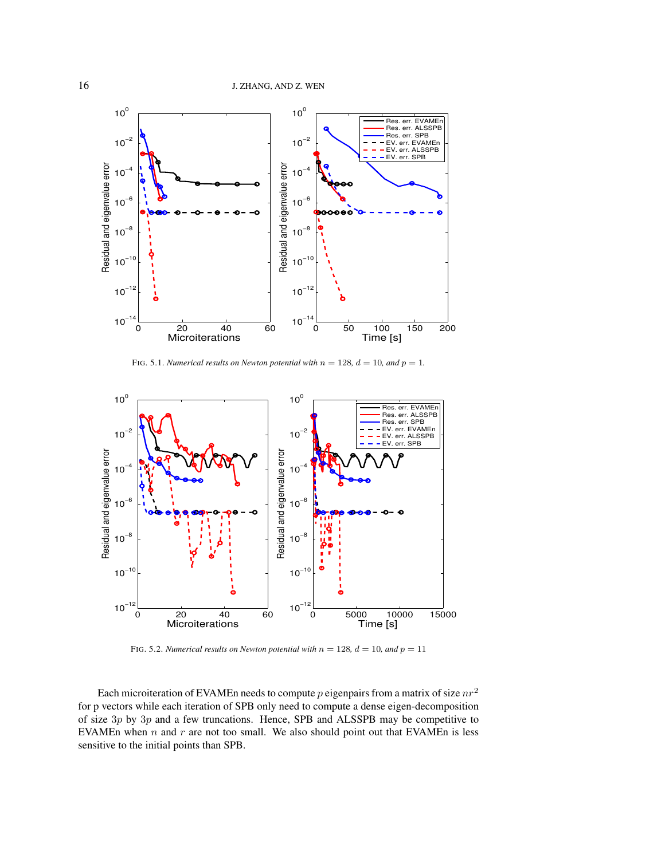

FIG. 5.1. *Numerical results on Newton potential with*  $n = 128$ ,  $d = 10$ , and  $p = 1$ .



FIG. 5.2. *Numerical results on Newton potential with*  $n = 128$ ,  $d = 10$ , and  $p = 11$ 

Each microiteration of EVAMEn needs to compute  $p$  eigenpairs from a matrix of size  $nr^2$ for p vectors while each iteration of SPB only need to compute a dense eigen-decomposition of size  $3p$  by  $3p$  and a few truncations. Hence, SPB and ALSSPB may be competitive to EVAMEn when  $n$  and  $r$  are not too small. We also should point out that EVAMEn is less sensitive to the initial points than SPB.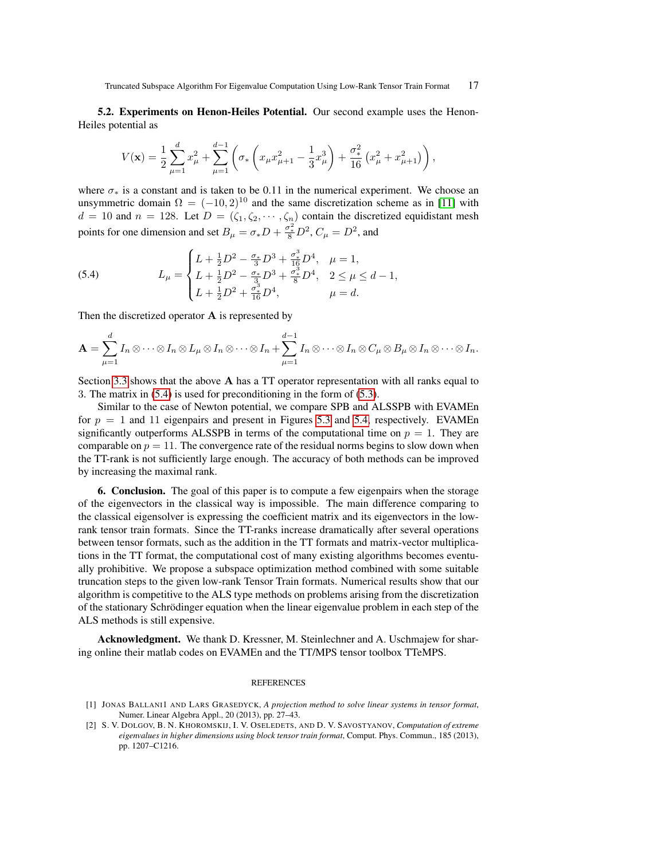5.2. Experiments on Henon-Heiles Potential. Our second example uses the Henon-Heiles potential as

<span id="page-16-3"></span>
$$
V(\mathbf{x}) = \frac{1}{2} \sum_{\mu=1}^{d} x_{\mu}^{2} + \sum_{\mu=1}^{d-1} \left( \sigma_{*} \left( x_{\mu} x_{\mu+1}^{2} - \frac{1}{3} x_{\mu}^{3} \right) + \frac{\sigma_{*}^{2}}{16} \left( x_{\mu}^{2} + x_{\mu+1}^{2} \right) \right),
$$

where  $\sigma_*$  is a constant and is taken to be 0.11 in the numerical experiment. We choose an unsymmetric domain  $\Omega = (-10, 2)^{10}$  and the same discretization scheme as in [\[11\]](#page-18-9) with  $d = 10$  and  $n = 128$ . Let  $D = (\zeta_1, \zeta_2, \dots, \zeta_n)$  contain the discretized equidistant mesh points for one dimension and set  $B_{\mu} = \sigma_{*}D + \frac{\sigma_{*}^{2}}{8}D^{2}$ ,  $C_{\mu} = D^{2}$ , and

(5.4) 
$$
L_{\mu} = \begin{cases} L + \frac{1}{2}D^2 - \frac{\sigma_*}{3}D^3 + \frac{\sigma_*^3}{16}D^4, & \mu = 1, \\ L + \frac{1}{2}D^2 - \frac{\sigma_*}{3}D^3 + \frac{\sigma_*^3}{8}D^4, & 2 \le \mu \le d - 1, \\ L + \frac{1}{2}D^2 + \frac{\sigma_*^3}{16}D^4, & \mu = d. \end{cases}
$$

Then the discretized operator A is represented by

$$
\mathbf{A} = \sum_{\mu=1}^d I_n \otimes \cdots \otimes I_n \otimes L_{\mu} \otimes I_n \otimes \cdots \otimes I_n + \sum_{\mu=1}^{d-1} I_n \otimes \cdots \otimes I_n \otimes C_{\mu} \otimes B_{\mu} \otimes I_n \otimes \cdots \otimes I_n.
$$

Section [3.3](#page-5-2) shows that the above A has a TT operator representation with all ranks equal to 3. The matrix in [\(5.4\)](#page-16-3) is used for preconditioning in the form of [\(5.3\)](#page-13-3).

Similar to the case of Newton potential, we compare SPB and ALSSPB with EVAMEn for  $p = 1$  and 11 eigenpairs and present in Figures [5.3](#page-17-4) and [5.4,](#page-17-5) respectively. EVAMEn significantly outperforms ALSSPB in terms of the computational time on  $p = 1$ . They are comparable on  $p = 11$ . The convergence rate of the residual norms begins to slow down when the TT-rank is not sufficiently large enough. The accuracy of both methods can be improved by increasing the maximal rank.

<span id="page-16-2"></span>6. Conclusion. The goal of this paper is to compute a few eigenpairs when the storage of the eigenvectors in the classical way is impossible. The main difference comparing to the classical eigensolver is expressing the coefficient matrix and its eigenvectors in the lowrank tensor train formats. Since the TT-ranks increase dramatically after several operations between tensor formats, such as the addition in the TT formats and matrix-vector multiplications in the TT format, the computational cost of many existing algorithms becomes eventually prohibitive. We propose a subspace optimization method combined with some suitable truncation steps to the given low-rank Tensor Train formats. Numerical results show that our algorithm is competitive to the ALS type methods on problems arising from the discretization of the stationary Schrödinger equation when the linear eigenvalue problem in each step of the ALS methods is still expensive.

Acknowledgment. We thank D. Kressner, M. Steinlechner and A. Uschmajew for sharing online their matlab codes on EVAMEn and the TT/MPS tensor toolbox TTeMPS.

#### REFERENCES

<span id="page-16-0"></span><sup>[1]</sup> JONAS BALLANI1 AND LARS GRASEDYCK, *A projection method to solve linear systems in tensor format*, Numer. Linear Algebra Appl., 20 (2013), pp. 27–43.

<span id="page-16-1"></span><sup>[2]</sup> S. V. DOLGOV, B. N. KHOROMSKIJ, I. V. OSELEDETS, AND D. V. SAVOSTYANOV, *Computation of extreme eigenvalues in higher dimensions using block tensor train format*, Comput. Phys. Commun., 185 (2013), pp. 1207–C1216.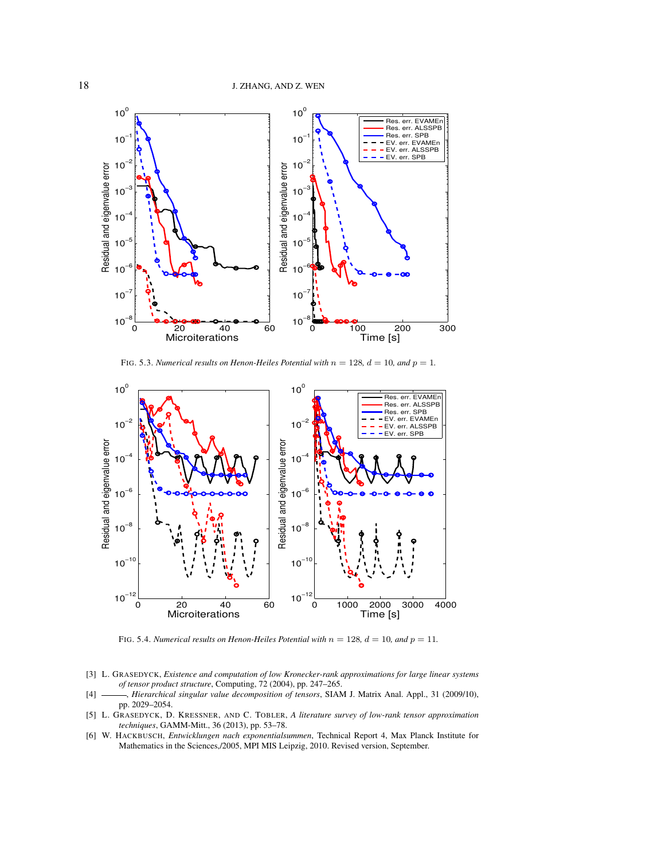

<span id="page-17-4"></span>FIG. 5.3. *Numerical results on Henon-Heiles Potential with*  $n = 128$ ,  $d = 10$ , and  $p = 1$ .



<span id="page-17-5"></span>FIG. 5.4. *Numerical results on Henon-Heiles Potential with*  $n = 128$ ,  $d = 10$ , and  $p = 11$ .

- <span id="page-17-3"></span>[3] L. GRASEDYCK, *Existence and computation of low Kronecker-rank approximations for large linear systems of tensor product structure*, Computing, 72 (2004), pp. 247–265.
- <span id="page-17-0"></span>[4] , *Hierarchical singular value decomposition of tensors*, SIAM J. Matrix Anal. Appl., 31 (2009/10), pp. 2029–2054.
- <span id="page-17-1"></span>[5] L. GRASEDYCK, D. KRESSNER, AND C. TOBLER, *A literature survey of low-rank tensor approximation techniques*, GAMM-Mitt., 36 (2013), pp. 53–78.
- <span id="page-17-2"></span>[6] W. HACKBUSCH, *Entwicklungen nach exponentialsummen*, Technical Report 4, Max Planck Institute for Mathematics in the Sciences,/2005, MPI MIS Leipzig, 2010. Revised version, September.